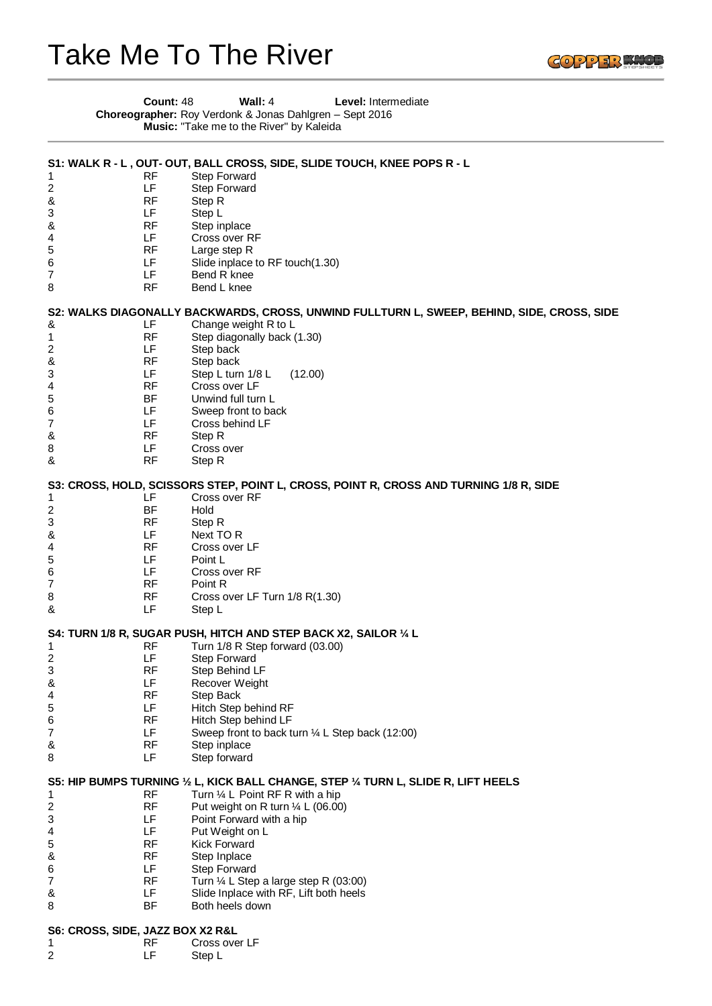## Take Me To The River



|                         | Count: 48                        | Wall: 4<br>Level: Intermediate<br>Choreographer: Roy Verdonk & Jonas Dahlgren - Sept 2016<br>Music: "Take me to the River" by Kaleida |
|-------------------------|----------------------------------|---------------------------------------------------------------------------------------------------------------------------------------|
|                         |                                  | S1: WALK R - L, OUT- OUT, BALL CROSS, SIDE, SLIDE TOUCH, KNEE POPS R - L                                                              |
| 1                       | RF                               | <b>Step Forward</b>                                                                                                                   |
| $\overline{\mathbf{c}}$ | LF                               | Step Forward                                                                                                                          |
| &                       | RF                               | Step R                                                                                                                                |
| 3                       | LF                               | Step L                                                                                                                                |
| &                       | <b>RF</b>                        | Step inplace                                                                                                                          |
| 4                       | LF                               | Cross over RF                                                                                                                         |
| 5                       | <b>RF</b>                        | Large step R                                                                                                                          |
| 6                       | LF                               | Slide inplace to RF touch(1.30)                                                                                                       |
| 7<br>8                  | LF<br><b>RF</b>                  | Bend R knee<br>Bend L knee                                                                                                            |
|                         |                                  | S2: WALKS DIAGONALLY BACKWARDS, CROSS, UNWIND FULLTURN L, SWEEP, BEHIND, SIDE, CROSS, SIDE                                            |
| &                       | LF                               | Change weight R to L                                                                                                                  |
| 1<br>2                  | RF<br>LF                         | Step diagonally back (1.30)<br>Step back                                                                                              |
| &                       | <b>RF</b>                        | Step back                                                                                                                             |
| 3                       | LF                               | Step L turn 1/8 L<br>(12.00)                                                                                                          |
| 4                       | <b>RF</b>                        | Cross over LF                                                                                                                         |
| 5                       | <b>BF</b>                        | Unwind full turn L                                                                                                                    |
| 6                       | LF.                              | Sweep front to back                                                                                                                   |
| 7                       | LF                               | Cross behind LF                                                                                                                       |
| &                       | RF                               | Step R                                                                                                                                |
| 8                       | LF                               | Cross over                                                                                                                            |
| &                       | <b>RF</b>                        | Step R                                                                                                                                |
|                         |                                  | S3: CROSS, HOLD, SCISSORS STEP, POINT L, CROSS, POINT R, CROSS AND TURNING 1/8 R, SIDE                                                |
| 1                       | LF                               | Cross over RF                                                                                                                         |
| $\overline{\mathbf{c}}$ | BF                               | Hold                                                                                                                                  |
| 3                       | RF                               | Step R                                                                                                                                |
| &                       | LF                               | Next TO R                                                                                                                             |
| 4                       | <b>RF</b>                        | Cross over LF                                                                                                                         |
| $\mathbf 5$             | LF                               | Point L                                                                                                                               |
| 6                       | LF<br><b>RF</b>                  | Cross over RF<br>Point R                                                                                                              |
| 7<br>8                  | RF                               | Cross over LF Turn 1/8 R(1.30)                                                                                                        |
| &                       | LF                               | Step L                                                                                                                                |
|                         |                                  | S4: TURN 1/8 R, SUGAR PUSH, HITCH AND STEP BACK X2, SAILOR 1/4 L                                                                      |
| 1                       | <b>RF</b>                        | Turn 1/8 R Step forward (03.00)                                                                                                       |
| 2                       | LF                               | <b>Step Forward</b>                                                                                                                   |
| 3                       | RF                               | Step Behind LF                                                                                                                        |
| &                       | LF                               | Recover Weight                                                                                                                        |
| 4                       | RF                               | Step Back                                                                                                                             |
| 5                       | LF                               | Hitch Step behind RF                                                                                                                  |
| 6                       | <b>RF</b>                        | Hitch Step behind LF                                                                                                                  |
| 7                       | LF                               | Sweep front to back turn 1/4 L Step back (12:00)                                                                                      |
| &                       | RF                               | Step inplace                                                                                                                          |
| 8                       | LF                               | Step forward                                                                                                                          |
|                         |                                  | S5: HIP BUMPS TURNING 1/2 L, KICK BALL CHANGE, STEP 1/4 TURN L, SLIDE R, LIFT HEELS                                                   |
| 1                       | RF                               | Turn $\frac{1}{4}$ L Point RF R with a hip                                                                                            |
| 2                       | <b>RF</b>                        | Put weight on R turn $\frac{1}{4}$ L (06.00)                                                                                          |
| 3                       | LF                               | Point Forward with a hip                                                                                                              |
| 4                       | LF                               | Put Weight on L                                                                                                                       |
| 5                       | RF                               | <b>Kick Forward</b>                                                                                                                   |
| &                       | RF                               | Step Inplace                                                                                                                          |
| 6                       | LF                               | Step Forward                                                                                                                          |
| 7                       | RF                               | Turn $\frac{1}{4}$ L Step a large step R (03:00)                                                                                      |
| &<br>8                  | LF<br>BF                         | Slide Inplace with RF, Lift both heels<br>Both heels down                                                                             |
|                         |                                  |                                                                                                                                       |
|                         | S6: CROSS, SIDE, JAZZ BOX X2 R&L |                                                                                                                                       |
| 1                       | RF                               | Cross over LF                                                                                                                         |
| 2                       | LF                               | Step L                                                                                                                                |
|                         |                                  |                                                                                                                                       |